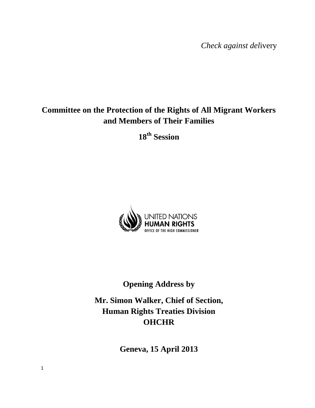*Check against del*ivery

# **Committee on the Protection of the Rights of All Migrant Workers and Members of Their Families**

**18th Session**



# **Opening Address by**

**Mr. Simon Walker, Chief of Section, Human Rights Treaties Division OHCHR**

**Geneva, 15 April 2013**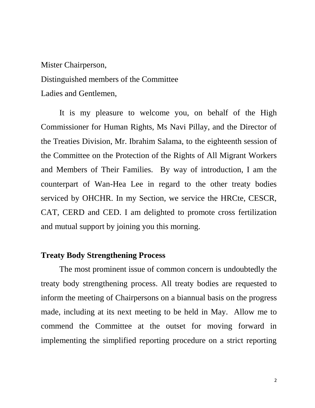# Mister Chairperson, Distinguished members of the Committee Ladies and Gentlemen,

It is my pleasure to welcome you, on behalf of the High Commissioner for Human Rights, Ms Navi Pillay, and the Director of the Treaties Division, Mr. Ibrahim Salama, to the eighteenth session of the Committee on the Protection of the Rights of All Migrant Workers and Members of Their Families. By way of introduction, I am the counterpart of Wan-Hea Lee in regard to the other treaty bodies serviced by OHCHR. In my Section, we service the HRCte, CESCR, CAT, CERD and CED. I am delighted to promote cross fertilization and mutual support by joining you this morning.

#### **Treaty Body Strengthening Process**

The most prominent issue of common concern is undoubtedly the treaty body strengthening process. All treaty bodies are requested to inform the meeting of Chairpersons on a biannual basis on the progress made, including at its next meeting to be held in May. Allow me to commend the Committee at the outset for moving forward in implementing the simplified reporting procedure on a strict reporting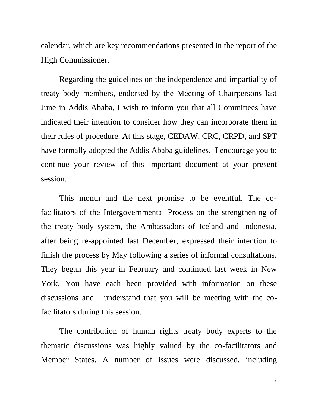calendar, which are key recommendations presented in the report of the High Commissioner.

Regarding the guidelines on the independence and impartiality of treaty body members, endorsed by the Meeting of Chairpersons last June in Addis Ababa, I wish to inform you that all Committees have indicated their intention to consider how they can incorporate them in their rules of procedure. At this stage, CEDAW, CRC, CRPD, and SPT have formally adopted the Addis Ababa guidelines. I encourage you to continue your review of this important document at your present session.

This month and the next promise to be eventful. The cofacilitators of the Intergovernmental Process on the strengthening of the treaty body system, the Ambassadors of Iceland and Indonesia, after being re-appointed last December, expressed their intention to finish the process by May following a series of informal consultations. They began this year in February and continued last week in New York. You have each been provided with information on these discussions and I understand that you will be meeting with the cofacilitators during this session.

The contribution of human rights treaty body experts to the thematic discussions was highly valued by the co-facilitators and Member States. A number of issues were discussed, including

3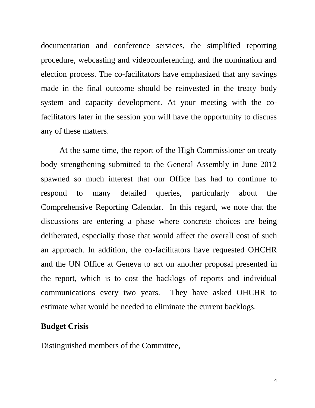documentation and conference services, the simplified reporting procedure, webcasting and videoconferencing, and the nomination and election process. The co-facilitators have emphasized that any savings made in the final outcome should be reinvested in the treaty body system and capacity development. At your meeting with the cofacilitators later in the session you will have the opportunity to discuss any of these matters.

At the same time, the report of the High Commissioner on treaty body strengthening submitted to the General Assembly in June 2012 spawned so much interest that our Office has had to continue to respond to many detailed queries, particularly about the Comprehensive Reporting Calendar. In this regard, we note that the discussions are entering a phase where concrete choices are being deliberated, especially those that would affect the overall cost of such an approach. In addition, the co-facilitators have requested OHCHR and the UN Office at Geneva to act on another proposal presented in the report, which is to cost the backlogs of reports and individual communications every two years. They have asked OHCHR to estimate what would be needed to eliminate the current backlogs.

#### **Budget Crisis**

Distinguished members of the Committee,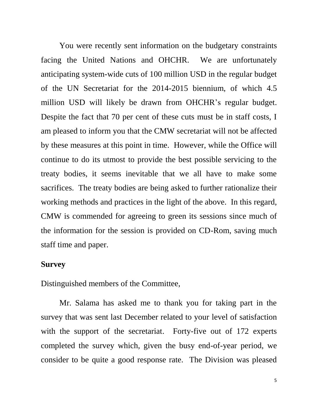You were recently sent information on the budgetary constraints facing the United Nations and OHCHR. We are unfortunately anticipating system-wide cuts of 100 million USD in the regular budget of the UN Secretariat for the 2014-2015 biennium, of which 4.5 million USD will likely be drawn from OHCHR's regular budget. Despite the fact that 70 per cent of these cuts must be in staff costs, I am pleased to inform you that the CMW secretariat will not be affected by these measures at this point in time. However, while the Office will continue to do its utmost to provide the best possible servicing to the treaty bodies, it seems inevitable that we all have to make some sacrifices. The treaty bodies are being asked to further rationalize their working methods and practices in the light of the above. In this regard, CMW is commended for agreeing to green its sessions since much of the information for the session is provided on CD-Rom, saving much staff time and paper.

### **Survey**

Distinguished members of the Committee,

Mr. Salama has asked me to thank you for taking part in the survey that was sent last December related to your level of satisfaction with the support of the secretariat. Forty-five out of 172 experts completed the survey which, given the busy end-of-year period, we consider to be quite a good response rate. The Division was pleased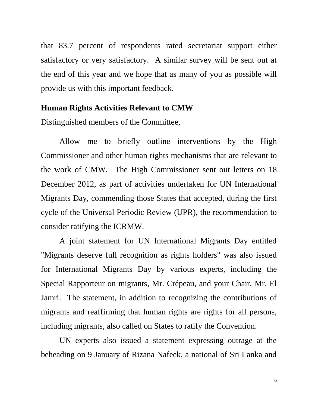that 83.7 percent of respondents rated secretariat support either satisfactory or very satisfactory. A similar survey will be sent out at the end of this year and we hope that as many of you as possible will provide us with this important feedback.

#### **Human Rights Activities Relevant to CMW**

Distinguished members of the Committee,

Allow me to briefly outline interventions by the High Commissioner and other human rights mechanisms that are relevant to the work of CMW. The High Commissioner sent out letters on 18 December 2012, as part of activities undertaken for UN International Migrants Day, commending those States that accepted, during the first cycle of the Universal Periodic Review (UPR), the recommendation to consider ratifying the ICRMW.

A joint statement for UN International Migrants Day entitled "Migrants deserve full recognition as rights holders" was also issued for International Migrants Day by various experts, including the Special Rapporteur on migrants, Mr. Crépeau, and your Chair, Mr. El Jamri. The statement, in addition to recognizing the contributions of migrants and reaffirming that human rights are rights for all persons, including migrants, also called on States to ratify the Convention.

UN experts also issued a statement expressing outrage at the beheading on 9 January of Rizana Nafeek, a national of Sri Lanka and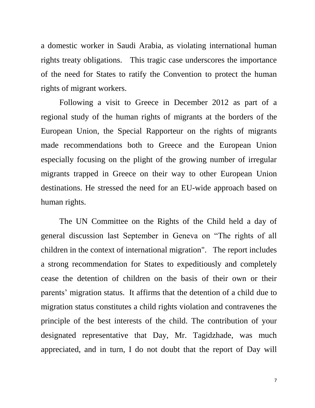a domestic worker in Saudi Arabia, as violating international human rights treaty obligations. This tragic case underscores the importance of the need for States to ratify the Convention to protect the human rights of migrant workers.

Following a visit to Greece in December 2012 as part of a regional study of the human rights of migrants at the borders of the European Union, the Special Rapporteur on the rights of migrants made recommendations both to Greece and the European Union especially focusing on the plight of the growing number of irregular migrants trapped in Greece on their way to other European Union destinations. He stressed the need for an EU-wide approach based on human rights.

The UN Committee on the Rights of the Child held a day of general discussion last September in Geneva on "The rights of all children in the context of international migration". The report includes a strong recommendation for States to expeditiously and completely cease the detention of children on the basis of their own or their parents' migration status. It affirms that the detention of a child due to migration status constitutes a child rights violation and contravenes the principle of the best interests of the child. The contribution of your designated representative that Day, Mr. Tagidzhade, was much appreciated, and in turn, I do not doubt that the report of Day will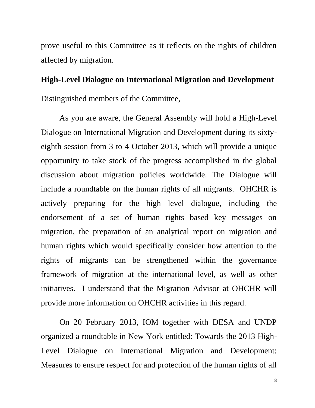prove useful to this Committee as it reflects on the rights of children affected by migration.

#### **High-Level Dialogue on International Migration and Development**

Distinguished members of the Committee,

As you are aware, the General Assembly will hold a High-Level Dialogue on International Migration and Development during its sixtyeighth session from 3 to 4 October 2013, which will provide a unique opportunity to take stock of the progress accomplished in the global discussion about migration policies worldwide. The Dialogue will include a roundtable on the human rights of all migrants. OHCHR is actively preparing for the high level dialogue, including the endorsement of a set of human rights based key messages on migration, the preparation of an analytical report on migration and human rights which would specifically consider how attention to the rights of migrants can be strengthened within the governance framework of migration at the international level, as well as other initiatives. I understand that the Migration Advisor at OHCHR will provide more information on OHCHR activities in this regard.

On 20 February 2013, IOM together with DESA and UNDP organized a roundtable in New York entitled: Towards the 2013 High-Level Dialogue on International Migration and Development: Measures to ensure respect for and protection of the human rights of all

8